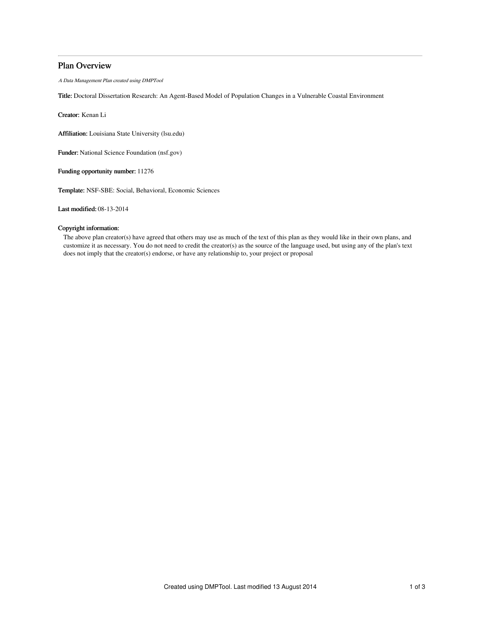# Plan Overview

A Data Management Plan created using DMPTool

Title: Doctoral Dissertation Research: An Agent-Based Model of Population Changes in a Vulnerable Coastal Environment

Creator: Kenan Li

Affiliation: Louisiana State University (lsu.edu)

Funder: National Science Foundation (nsf.gov)

Funding opportunity number: 11276

Template: NSF-SBE: Social, Behavioral, Economic Sciences

Last modified: 08-13-2014

# Copyright information:

The above plan creator(s) have agreed that others may use as much of the text of this plan as they would like in their own plans, and customize it as necessary. You do not need to credit the creator(s) as the source of the language used, but using any of the plan's text does not imply that the creator(s) endorse, or have any relationship to, your project or proposal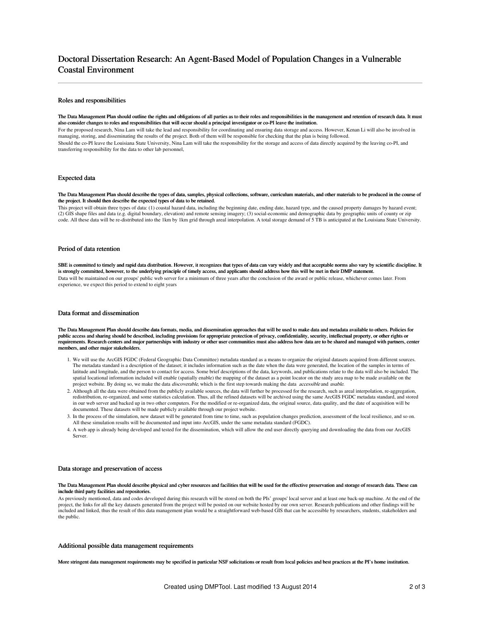# Doctoral Dissertation Research: An Agent-Based Model of Population Changes in a Vulnerable Coastal Environment

## Roles and responsibilities

#### The Data Management Plan should outline the rights and obligations of all parties as to their roles and responsibilities in the management and retention of research data. It must also consider changes to roles and responsibilities that will occur should a principal investigator or co-PI leave the institution.

For the proposed research, Nina Lam will take the lead and responsibility for coordinating and ensuring data storage and access. However, Kenan Li will also be involved in managing, storing, and disseminating the results of the project. Both of them will be responsible for checking that the plan is being followed. Should the co-PI leave the Louisiana State University, Nina Lam will take the responsibility for the storage and access of data directly acquired by the leaving co-PI, and transferring responsibility for the data to other lab personnel,

### Expected data

#### The Data Management Plan should describe the types of data, samples, physical collections, software, curriculum materials, and other materials to be produced in the course of the project. It should then describe the expected types of data to be retained.

This project will obtain three types of data: (1) coastal hazard data, including the beginning date, ending date, hazard type, and the caused property damages by hazard event; (2) GIS shape files and data (e.g. digital boundary, elevation) and remote sensing imagery; (3) social-economic and demographic data by geographic units of county or zip code. All these data will be re-distributed into the 1km by 1km grid through areal interpolation. A total storage demand of 5 TB is anticipated at the Louisiana State University.

#### Period of data retention

SBE is committed to timely and rapid data distribution. However, it recognizes that types of data can vary widely and that acceptable norms also vary by scientific discipline. It is strongly committed, however, to the underlying principle of timely access, and applicants should address how this will be met in their DMP statement. Data will be maintained on our groups' public web server for a minimum of three years after the conclusion of the award or public release, whichever comes later. From experience, we expect this period to extend to eight years

## Data format and dissemination

The Data Management Plan should describe data formats, media, and dissemination approaches that will be used to make data and metadata available to others. Policies for public access and sharing should be described, including provisions for appropriate protection of privacy, confidentiality, security, intellectual property, or other rights or requirements. Research centers and major partnerships with industry or other user communities must also address how data are to be shared and managed with partners, center members, and other major stakeholder.

- 1. We will use the ArcGIS FGDC (Federal Geographic Data Committee) metadata standard as a means to organize the original datasets acquired from different sources. The metadata standard is a description of the dataset; it includes information such as the date when the data were generated, the location of the samples in terms of latitude and longitude, and the person to contact for access. Some brief descriptions of the data, keywords, and publications relate to the data will also be included. The spatial locational information included will enable (spatially enable) the mapping of the dataset as a point locator on the study area map to be made available on the project website. By doing so, we make the data discoverable, which is the first step towards making the data *accessible* and usable.
- 2. Although all the data were obtained from the publicly available sources, the data will further be processed for the research, such as areal interpolation, re-aggregation, redistribution, re-organized, and some statistics calculation. Thus, all the refined datasets will be archived using the same ArcGIS FGDC metadata standard, and stored in our web server and backed up in two other computers. For the modified or re-organized data, the original source, data quality, and the date of acquisition will be documented. These datasets will be made publicly available through our project website.
- 3. In the process of the simulation, new dataset will be generated from time to time, such as population changes prediction, assessment of the local resilience, and so on. All these simulation results will be documented and input into ArcGIS, under the same metadata standard (FGDC).
- 4. A web app is already being developed and tested for the dissemination, which will allow the end user directly querying and downloading the data from our ArcGIS Server.

#### Data storage and preservation of access

#### The Data Management Plan should describe physical and cyber resources and facilities that will be used for the effective preservation and storage of research data. These can include third party facilities and repositories.

As previously mentioned, data and codes developed during this research will be stored on both the PIs' groups' local server and at least one back-up machine. At the end of the project, the links for all the key datasets generated from the project will be posted on our website hosted by our own server. Research publications and other findings will be included and linked, thus the result of this data management plan would be a straightforward web-based GIS that can be accessible by researchers, students, stakeholders and the public.

## Additional possible data management requirements

More stringent data management requirements may be specified in particular NSF solicitations or result from local policies and best practices at the PI's home institution.